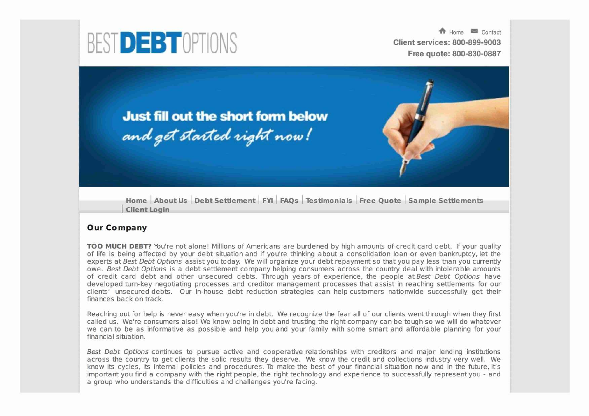

**Free quote: 800-830-0887**

**Just fill out the short form below** and get started right now!

**Home** I **About Us** I **Debt Settlement** I **FYI** I **FAQs** I **Testimonials** I **Free Quote** I **Sample Settlements ~ Client Login**

## **Our Company**

**TOO MUCH DEBT?** You're not alone! Millions of Americans are burdened by high amounts of credit card debt. If your quality of life is being affected by your debt situation and if you're thinking about a consolidation loan or even bankruptcy, let the **experts at Best Debt Options assist you today. We will organize your debt repayment so that you pay less than you currently owe. Best Debt Options is a debt settlement company helping consumers across the country deal with intolerable amounts of credit card debt and other unsecured debts. Through years of experience, the people at Best Debt Options have developed turn-key negotiating processes and creditor management processes that assist in reaching settlements for our clients' unsecured debts. Our in-house debt reduction strategies can help customers nationwide successfully get their finances back on track.**

Reaching out for help is never easy when you're in debt. We recognize the fear all of our clients went through when they first called us. We're consumers also! We know being in debt and trusting the right company can be tough so we will do whatever **we can to be as informative as possible and help you and your family with some smart and affordable planning for your fina ncia I situation.**

**Best Debt Options continues to pursue active and cooperative relationships with creditors and major lending institutions across the country to get clients the solid results they deserve. We know the credit and collections industry very well. We** know its cycles, its internal policies and procedures. To make the best of your financial situation now and in the future, it's **important you find a company with the right people, the right technology and experience to successfully represent you - and** a group who understands the difficulties and challenges you're facing.